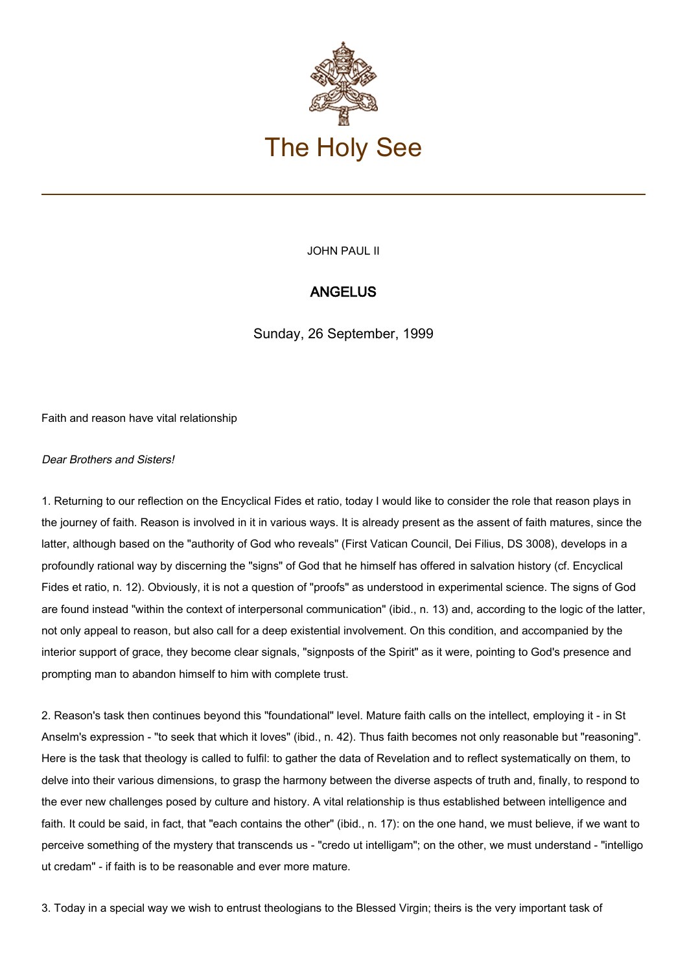

JOHN PAUL II

## ANGELUS

Sunday, 26 September, 1999

Faith and reason have vital relationship

## Dear Brothers and Sisters!

1. Returning to our reflection on the Encyclical Fides et ratio, today I would like to consider the role that reason plays in the journey of faith. Reason is involved in it in various ways. It is already present as the assent of faith matures, since the latter, although based on the "authority of God who reveals" (First Vatican Council, Dei Filius, DS 3008), develops in a profoundly rational way by discerning the "signs" of God that he himself has offered in salvation history (cf. Encyclical Fides et ratio, n. 12). Obviously, it is not a question of "proofs" as understood in experimental science. The signs of God are found instead "within the context of interpersonal communication" (ibid., n. 13) and, according to the logic of the latter, not only appeal to reason, but also call for a deep existential involvement. On this condition, and accompanied by the interior support of grace, they become clear signals, "signposts of the Spirit" as it were, pointing to God's presence and prompting man to abandon himself to him with complete trust.

2. Reason's task then continues beyond this "foundational" level. Mature faith calls on the intellect, employing it - in St Anselm's expression - "to seek that which it loves" (ibid., n. 42). Thus faith becomes not only reasonable but "reasoning". Here is the task that theology is called to fulfil: to gather the data of Revelation and to reflect systematically on them, to delve into their various dimensions, to grasp the harmony between the diverse aspects of truth and, finally, to respond to the ever new challenges posed by culture and history. A vital relationship is thus established between intelligence and faith. It could be said, in fact, that "each contains the other" (ibid., n. 17): on the one hand, we must believe, if we want to perceive something of the mystery that transcends us - "credo ut intelligam"; on the other, we must understand - "intelligo ut credam" - if faith is to be reasonable and ever more mature.

3. Today in a special way we wish to entrust theologians to the Blessed Virgin; theirs is the very important task of